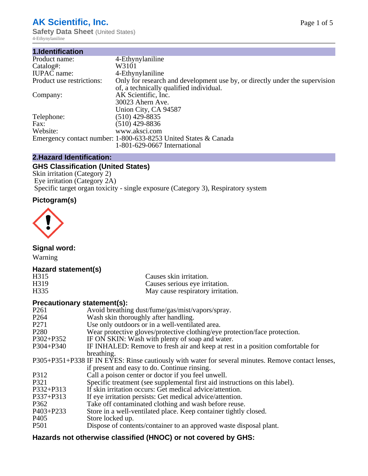# **AK Scientific, Inc.**

**Safety Data Sheet (United States)** 4-Ethynylaniline

| 1.Identification          |                                                                                                                        |
|---------------------------|------------------------------------------------------------------------------------------------------------------------|
| Product name:             | 4-Ethynylaniline                                                                                                       |
| Catalog#:                 | W3101                                                                                                                  |
| <b>IUPAC</b> name:        | 4-Ethynylaniline                                                                                                       |
| Product use restrictions: | Only for research and development use by, or directly under the supervision<br>of, a technically qualified individual. |
| Company:                  | AK Scientific, Inc.                                                                                                    |
|                           | 30023 Ahern Ave.<br>Union City, CA 94587                                                                               |
| Telephone:                | $(510)$ 429-8835                                                                                                       |
| Fax:                      | $(510)$ 429-8836                                                                                                       |
| Website:                  | www.aksci.com                                                                                                          |
|                           | Emergency contact number: 1-800-633-8253 United States & Canada                                                        |
|                           | 1-801-629-0667 International                                                                                           |

# **2.Hazard Identification:**

# **GHS Classification (United States)**

Skin irritation (Category 2) Eye irritation (Category 2A) Specific target organ toxicity - single exposure (Category 3), Respiratory system

# **Pictogram(s)**



**Signal word:**

Warning

# **Hazard statement(s)**

| H315             | Causes skin irritation.           |
|------------------|-----------------------------------|
| H <sub>319</sub> | Causes serious eye irritation.    |
| H335             | May cause respiratory irritation. |

# **Precautionary statement(s):**

| P <sub>261</sub> | Avoid breathing dust/fume/gas/mist/vapors/spray.                                                   |
|------------------|----------------------------------------------------------------------------------------------------|
| P <sub>264</sub> | Wash skin thoroughly after handling.                                                               |
| P <sub>271</sub> | Use only outdoors or in a well-ventilated area.                                                    |
| P <sub>280</sub> | Wear protective gloves/protective clothing/eye protection/face protection.                         |
| P302+P352        | IF ON SKIN: Wash with plenty of soap and water.                                                    |
| $P304 + P340$    | IF INHALED: Remove to fresh air and keep at rest in a position comfortable for                     |
|                  | breathing.                                                                                         |
|                  | P305+P351+P338 IF IN EYES: Rinse cautiously with water for several minutes. Remove contact lenses, |
|                  | if present and easy to do. Continue rinsing.                                                       |
| P312             | Call a poison center or doctor if you feel unwell.                                                 |
| P321             | Specific treatment (see supplemental first aid instructions on this label).                        |
| P332+P313        | If skin irritation occurs: Get medical advice/attention.                                           |
| P337+P313        | If eye irritation persists: Get medical advice/attention.                                          |
| P362             | Take off contaminated clothing and wash before reuse.                                              |
| $P403 + P233$    | Store in a well-ventilated place. Keep container tightly closed.                                   |
| P <sub>405</sub> | Store locked up.                                                                                   |
| P <sub>501</sub> | Dispose of contents/container to an approved waste disposal plant.                                 |
|                  |                                                                                                    |

# **Hazards not otherwise classified (HNOC) or not covered by GHS:**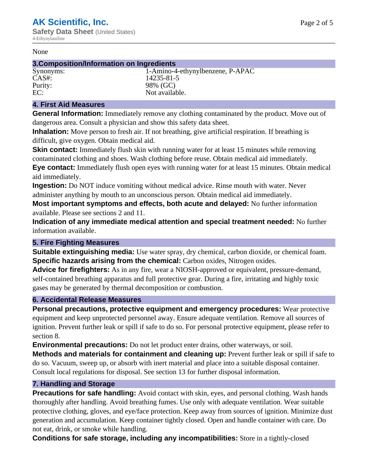#### None

## **3.Composition/Information on Ingredients**

Synonyms: 1-Amino-4-ethynylbenzene, P-APAC CAS#: 14235-81-5 Purity: 98% (GC) EC: Not available.

## **4. First Aid Measures**

**General Information:** Immediately remove any clothing contaminated by the product. Move out of dangerous area. Consult a physician and show this safety data sheet.

**Inhalation:** Move person to fresh air. If not breathing, give artificial respiration. If breathing is difficult, give oxygen. Obtain medical aid.

**Skin contact:** Immediately flush skin with running water for at least 15 minutes while removing contaminated clothing and shoes. Wash clothing before reuse. Obtain medical aid immediately. **Eye contact:** Immediately flush open eyes with running water for at least 15 minutes. Obtain medical aid immediately.

**Ingestion:** Do NOT induce vomiting without medical advice. Rinse mouth with water. Never administer anything by mouth to an unconscious person. Obtain medical aid immediately.

**Most important symptoms and effects, both acute and delayed:** No further information available. Please see sections 2 and 11.

**Indication of any immediate medical attention and special treatment needed:** No further information available.

# **5. Fire Fighting Measures**

**Suitable extinguishing media:** Use water spray, dry chemical, carbon dioxide, or chemical foam. **Specific hazards arising from the chemical:** Carbon oxides, Nitrogen oxides.

**Advice for firefighters:** As in any fire, wear a NIOSH-approved or equivalent, pressure-demand, self-contained breathing apparatus and full protective gear. During a fire, irritating and highly toxic gases may be generated by thermal decomposition or combustion.

# **6. Accidental Release Measures**

**Personal precautions, protective equipment and emergency procedures:** Wear protective equipment and keep unprotected personnel away. Ensure adequate ventilation. Remove all sources of ignition. Prevent further leak or spill if safe to do so. For personal protective equipment, please refer to section 8.

**Environmental precautions:** Do not let product enter drains, other waterways, or soil.

**Methods and materials for containment and cleaning up:** Prevent further leak or spill if safe to do so. Vacuum, sweep up, or absorb with inert material and place into a suitable disposal container. Consult local regulations for disposal. See section 13 for further disposal information.

# **7. Handling and Storage**

**Precautions for safe handling:** Avoid contact with skin, eyes, and personal clothing. Wash hands thoroughly after handling. Avoid breathing fumes. Use only with adequate ventilation. Wear suitable protective clothing, gloves, and eye/face protection. Keep away from sources of ignition. Minimize dust generation and accumulation. Keep container tightly closed. Open and handle container with care. Do not eat, drink, or smoke while handling.

**Conditions for safe storage, including any incompatibilities:** Store in a tightly-closed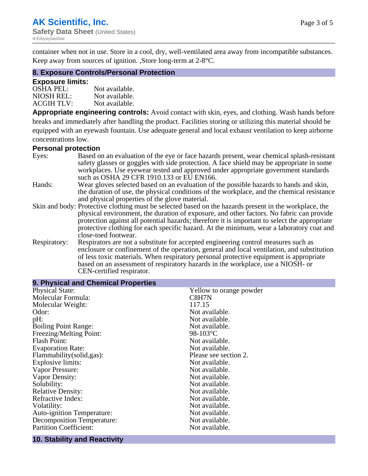container when not in use. Store in a cool, dry, well-ventilated area away from incompatible substances. Keep away from sources of ignition. ,Store long-term at 2-8°C.

## **8. Exposure Controls/Personal Protection**

#### **Exposure limits:**

| <b>OSHA PEL:</b>  | Not available. |
|-------------------|----------------|
| NIOSH REL:        | Not available. |
| <b>ACGIH TLV:</b> | Not available. |

**Appropriate engineering controls:** Avoid contact with skin, eyes, and clothing. Wash hands before breaks and immediately after handling the product. Facilities storing or utilizing this material should be equipped with an eyewash fountain. Use adequate general and local exhaust ventilation to keep airborne concentrations low.

#### **Personal protection**

| Eyes:        | Based on an evaluation of the eye or face hazards present, wear chemical splash-resistant<br>safety glasses or goggles with side protection. A face shield may be appropriate in some |  |  |
|--------------|---------------------------------------------------------------------------------------------------------------------------------------------------------------------------------------|--|--|
|              | workplaces. Use eyewear tested and approved under appropriate government standards<br>such as OSHA 29 CFR 1910.133 or EU EN166.                                                       |  |  |
| Hands:       | Wear gloves selected based on an evaluation of the possible hazards to hands and skin,                                                                                                |  |  |
|              | the duration of use, the physical conditions of the workplace, and the chemical resistance                                                                                            |  |  |
|              | and physical properties of the glove material.                                                                                                                                        |  |  |
|              | Skin and body: Protective clothing must be selected based on the hazards present in the workplace, the                                                                                |  |  |
|              | physical environment, the duration of exposure, and other factors. No fabric can provide                                                                                              |  |  |
|              | protection against all potential hazards; therefore it is important to select the appropriate                                                                                         |  |  |
|              | protective clothing for each specific hazard. At the minimum, wear a laboratory coat and                                                                                              |  |  |
|              | close-toed footwear.                                                                                                                                                                  |  |  |
| Respiratory: | Respirators are not a substitute for accepted engineering control measures such as<br>enclosure or confinement of the operation, general and local ventilation, and substitution      |  |  |
|              | of less toxic materials. When respiratory personal protective equipment is appropriate                                                                                                |  |  |
|              | based on an assessment of respiratory hazards in the workplace, use a NIOSH- or                                                                                                       |  |  |
|              | CEN-certified respirator.                                                                                                                                                             |  |  |

| Yellow to orange powder |
|-------------------------|
| C8H7N                   |
| 117.15                  |
| Not available.          |
| Not available.          |
| Not available.          |
| 98-103 $^{\circ}$ C     |
| Not available.          |
| Not available.          |
| Please see section 2.   |
| Not available.          |
| Not available.          |
| Not available.          |
| Not available.          |
| Not available.          |
| Not available.          |
| Not available.          |
| Not available.          |
| Not available.          |
| Not available.          |
|                         |

#### **10. Stability and Reactivity**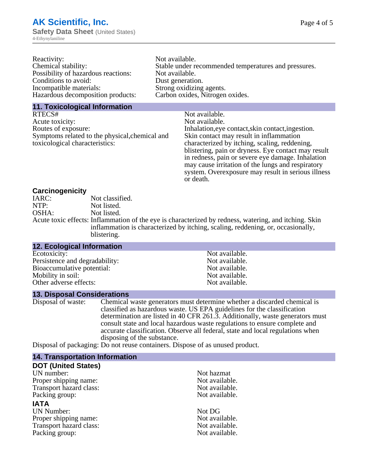| Reactivity:                         | Not available.                                       |
|-------------------------------------|------------------------------------------------------|
| Chemical stability:                 | Stable under recommended temperatures and pressures. |
| Possibility of hazardous reactions: | Not available.                                       |
| Conditions to avoid:                | Dust generation.                                     |
| Incompatible materials:             | Strong oxidizing agents.                             |
| Hazardous decomposition products:   | Carbon oxides, Nitrogen oxides.                      |
|                                     |                                                      |

## **11. Toxicological Information**

| RTECS#                                         | Not available.                                      |
|------------------------------------------------|-----------------------------------------------------|
| Acute toxicity:                                | Not available.                                      |
| Routes of exposure:                            | Inhalation, eye contact, skin contact, ingestion.   |
| Symptoms related to the physical, chemical and | Skin contact may result in inflammation             |
| toxicological characteristics:                 | characterized by itching, scaling, reddening,       |
|                                                | blistering, pain or dryness. Eye contact may result |
|                                                | in redness, pain or severe eye damage. Inhalation   |
|                                                | may cause irritation of the lungs and respiratory   |
|                                                | system. Overexposure may result in serious illness  |

or death.

## **Carcinogenicity**

| IARC: | Not classified.                                                                                       |
|-------|-------------------------------------------------------------------------------------------------------|
| NTP:  | Not listed.                                                                                           |
| OSHA: | Not listed.                                                                                           |
|       | Acute toxic effects: Inflammation of the eye is characterized by redness, watering, and itching. Skin |
|       | inflammation is characterized by itching, scaling, reddening, or, occasionally,                       |
|       | blistering.                                                                                           |

| <b>12. Ecological Information</b> |                |
|-----------------------------------|----------------|
| Ecotoxicity:                      | Not available. |
| Persistence and degradability:    | Not available. |
| Bioaccumulative potential:        | Not available. |
| Mobility in soil:                 | Not available. |
| Other adverse effects:            | Not available. |

## **13. Disposal Considerations**

Disposal of waste: Chemical waste generators must determine whether a discarded chemical is classified as hazardous waste. US EPA guidelines for the classification determination are listed in 40 CFR 261.3. Additionally, waste generators must consult state and local hazardous waste regulations to ensure complete and accurate classification. Observe all federal, state and local regulations when disposing of the substance.

Disposal of packaging: Do not reuse containers. Dispose of as unused product.

| <b>14. Transportation Information</b> |                |
|---------------------------------------|----------------|
| <b>DOT (United States)</b>            |                |
| UN number:                            | Not hazmat     |
| Proper shipping name:                 | Not available. |
| Transport hazard class:               | Not available. |
| Packing group:                        | Not available. |
| <b>IATA</b>                           |                |
| <b>UN Number:</b>                     | Not DG         |
| Proper shipping name:                 | Not available. |
| Transport hazard class:               | Not available. |
| Packing group:                        | Not available. |